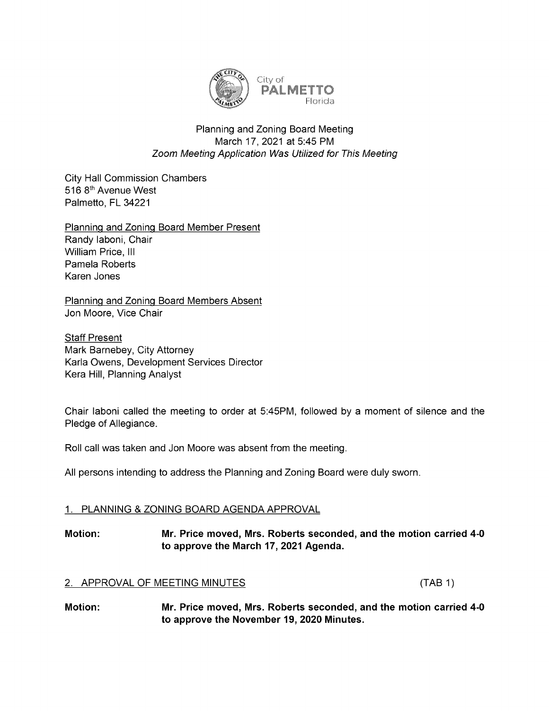

## Planning and Zoning Board Meeting March 17, 2021 at 5:45 PM Zoom Meeting Application Was Utilized for This Meeting

**City Hall Commission Chambers** 516 8<sup>th</sup> Avenue West Palmetto, FL 34221

Planning and Zoning Board Member Present

Randy Iaboni, Chair William Price, III Pamela Roberts Karen Jones

Planning and Zoning Board Members Absent Jon Moore, Vice Chair

**Staff Present** Mark Barnebey, City Attorney Karla Owens, Development Services Director Kera Hill, Planning Analyst

Chair laboni called the meeting to order at 5:45PM, followed by a moment of silence and the Pledge of Allegiance.

Roll call was taken and Jon Moore was absent from the meeting.

All persons intending to address the Planning and Zoning Board were duly sworn.

# 1. PLANNING & ZONING BOARD AGENDA APPROVAL

# Motion: Mr. Price moved, Mrs. Roberts seconded, and the motion carried 4-0 to approve the March 17, 2021 Agenda.

## 2. APPROVAL OF MEETING MINUTES (TAB1)

Motion: Mr. Price moved, Mrs. Roberts seconded, and the motion carried 4-0 to approve the November 19, 2020 Minutes.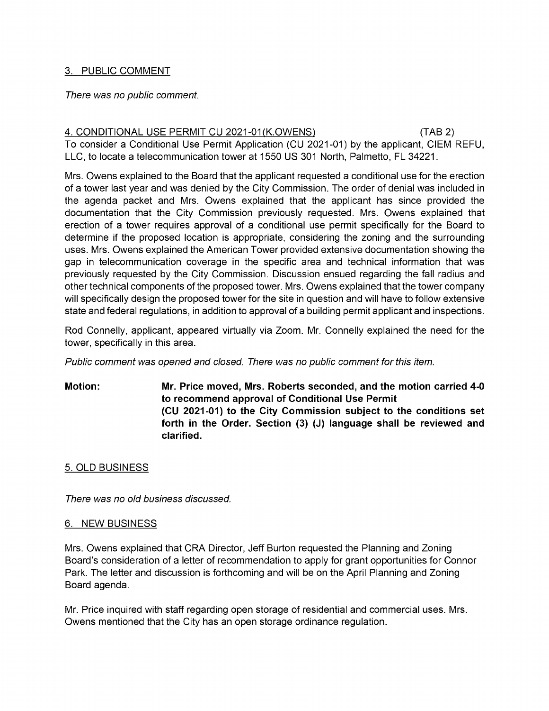#### 3. PUBLIC COMMENT

#### There was no public comment.

## 4. CONDITIONAL USE PERMIT CU 2021-01(K.OWENS) (TAB 2) To consider a Conditional Use Permit Application (CU 2021-01) by the applicant, CIEM REFU, LLC, to locate a telecommunication tower at 1550 US 301 North, Palmetto, FL 34221.

Mrs. Owens explained to the Board that the applicant requested a conditional use for the erection of a tower last year and was denied by the City Commission. The order of denial was included in the agenda packet and Mrs. Owens explained that the applicant has since provided the documentation that the City Commission previously requested. Mrs. Owens explained that erection of a tower requires approval of a conditional use permit specifically for the Board to determine if the proposed location is appropriate, considering the zoning and the surrounding uses. Mrs. Owens explained the American Tower provided extensive documentation showing the gap in telecommunication coverage in the specific area and technical information that was previously requested by the City Commission. Discussion ensued regarding the fall radius and other technical components of the proposed tower. Mrs. Owens explained that the tower company will specifically design the proposed tower for the site in question and will have to follow extensive state and federal regulations, in addition to approval of a building permit applicant and inspections.

Rod Connelly, applicant, appeared virtually via Zoom. Mr. Connelly explained the need for the tower, specifically in this area.

Public comment was opened and closed. There was no public comment for this item.

Motion: Mr. Price moved, Mrs. Roberts seconded, and the motion carried 4-0 to recommend approval of Conditional Use Permit (CU 2021-01) to the City Commission subject to the conditions set forth in the Order. Section (3) (J) language shall be reviewed and clarified.

## 5. OLD BUSINESS

There was no old business discussed.

## 6. NEW BUSINESS

Mrs. Owens explained that CRA Director, Jeff Burton requested the Planning and Zoning Board's consideration of a letter of recommendation to apply for grant opportunities for Connor Park. The letter and discussion is forthcoming and will be on the April Planning and Zoning Board agenda.

Mr. Price inquired with staff regarding open storage of residential and commercial uses. Mrs. Owens mentioned that the City has an open storage ordinance regulation.